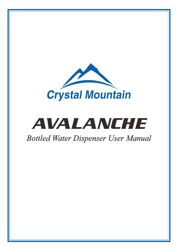

# AVALANCHE

# *Bottled Water Dispenser User Manual*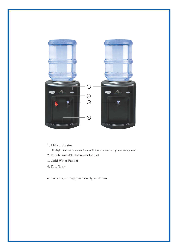

#### 1. LED Indicator

LED lights indicate when cold and/or hot water are at the optimum temperature

- 2. Touch Guard® Hot Water Faucet
- 3. Cold Water Faucet
- 4. Drip Tray
- Parts may not appear exactly as shown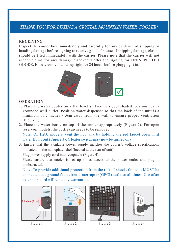# *THANK YOU FOR BUYING A CRYSTAL MOUNTAIN WATER COOLER!*

#### **RECEIVING**

Inspect the cooler box immediately and carefully for any evidence of shipping or handing damage before signing to receive goods. In case of shipping damage, claims should be filed immediately with the carrier. Please note that the carrier will not accept claims for any damage discovered after the signing for UNINSPECTED GOODS. Ensure cooler stands upright for 24 hours before plugging it in.



#### **OPERATION**

- 1. Place the water cooler on a flat level surface in a cool shaded location near a grounded wall outlet. Position water dispenser so that the back of the unit is a minimum of 2 inches / 5cm away from the wall to ensure proper ventilation (Figure 1).
- 2. Place the water bottle on top of the cooler appropriately (Figure 2). For open reservoir models, the bottle cap needs to be removed. Note: On H&C models, vent the hot tank by holding the red faucet open until water flows out (Figure 3). (Heater switch may now be turned on)
- 3. Ensure that the available power supply matches the cooler's voltage specifications indicated on the nameplate label (located at the rear of unit).

Plug power supply cord into receptacle (Figure 4).

Please ensure that cooler is set up so as access to the power outlet and plug is unobstructed.

Note: To provide additional protection from the risk of shock, this unit MUST be connected to a ground fault circuit interrupter (GFCI) outlet at all times. Use of an extension cord will void any warranties.









Figure 1

Figure 2 Figure 3 Figure 4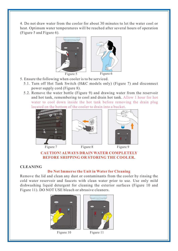4. Do not draw water from the cooler for about 30 minutes to let the water cool or heat. Optimum water temperatures will be reached after several hours of operation (Figure 5 and Figure 6).



- 5. Ensure the following when cooler is to be serviced.
	- 5.1. Turn off Hot Tank Switch (H&C models only) (Figure 7) and disconnect power supply cord (Figure 8).
	- 5.2. Remove the water bottle (Figure 9) and drawing water from the reservoir and hot tank, remembering to cool and drain hot tank. Allow 1 hour for hot water to cool down inside the hot tank before removing the drain plug located on the bottom of the cooler to drain into a bucket.







Figure 7 Figure 8 Figure 9

#### **CAUTION! ALWAYS DRAIN WATER COMPLETELY BEFORE SHIPPING OR STORING THE COOLER.**

#### **CLEANING**

#### **Do Not Immerse the Unit in Water for Cleaning**

Remove the lid and clean any dust or contaminants from the cooler by rinsing the cold water reservoir and faucets with clean water prior to use. Use only mild dishwashing liquid detergent for cleaning the exterior surfaces (Figure 10 and Figure 11). DO NOT USE bleach or abrasive cleaners.



Figure 10 Figure 11

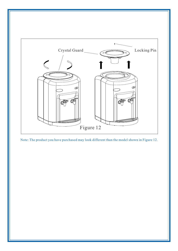

Note: The product you have purchased may look different than the model shown in Figure 12.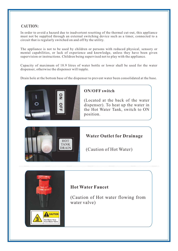## **CAUTION:**

In order to avoid a hazard due to inadvertent resetting of the thermal cut-out, this appliance must not be supplied through an external switching device such as a timer, connected to a circuit that is regularly switched on and off by the utility.

The appliance is not to be used by children or persons with reduced physical, sensory or mental capabilities, or lack of experience and knowledge, unless they have been given supervision or instructions. Children being supervised not to play with the appliance.

Capacity of maximum of 18.9 litres of water bottle or lower shall be used for the water dispenser, otherwise the dispenser will topple.

Drain hole at the bottom base of the dispenser to prevent water been consolidated at the base.



### **ON/OFF switch**

(Located at the back of the water dispenser). To heat up the water in the Hot Water Tank, switch to ON position.



**CAUTIO** lot Water flow<br>rom Water Valv

# **Water Outlet for Drainage**

(Caution of Hot Water)

# **Hot Water Faucet**

(Caution of Hot water flowing from water valve)